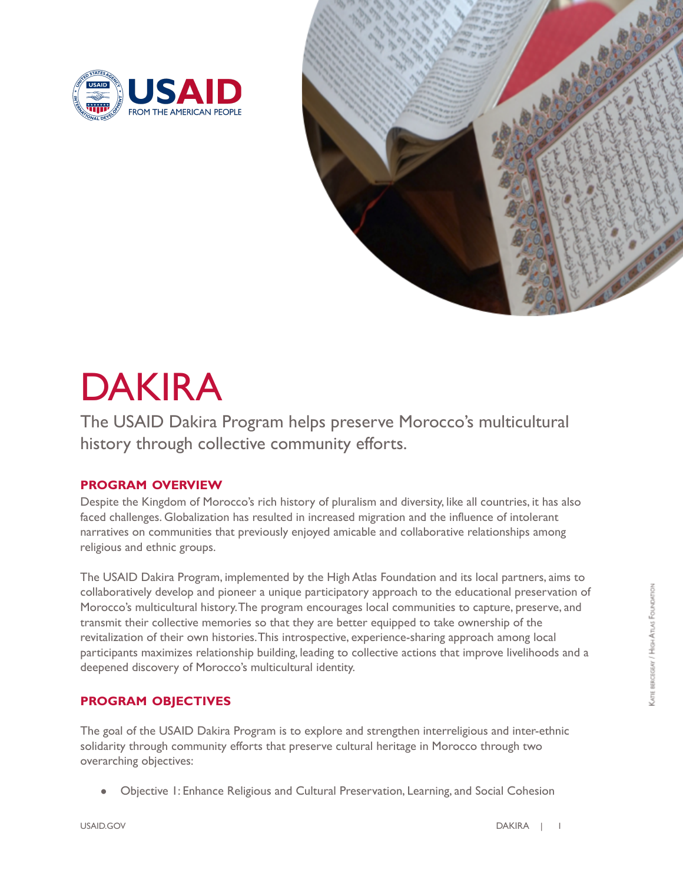



# DAKIRA

 The USAID Dakira Program helps preserve Morocco's multicultural history through collective community efforts.

## **PROGRAM OVERVIEW**

 Despite the Kingdom of Morocco's rich history of pluralism and diversity, like all countries, it has also faced challenges. Globalization has resulted in increased migration and the influence of intolerant narratives on communities that previously enjoyed amicable and collaborative relationships among religious and ethnic groups.

 The USAID Dakira Program, implemented by the High Atlas Foundation and its local partners, aims to collaboratively develop and pioneer a unique participatory approach to the educational preservation of Morocco's multicultural history.The program encourages local communities to capture, preserve, and transmit their collective memories so that they are better equipped to take ownership of the revitalization of their own histories.This introspective, experience-sharing approach among local participants maximizes relationship building, leading to collective actions that improve livelihoods and a deepened discovery of Morocco's multicultural identity.

### **PROGRAM OBJECTIVES**

 The goal of the USAID Dakira Program is to explore and strengthen interreligious and inter-ethnic solidarity through community efforts that preserve cultural heritage in Morocco through two overarching objectives:

● Objective 1: Enhance Religious and Cultural Preservation, Learning, and Social Cohesion